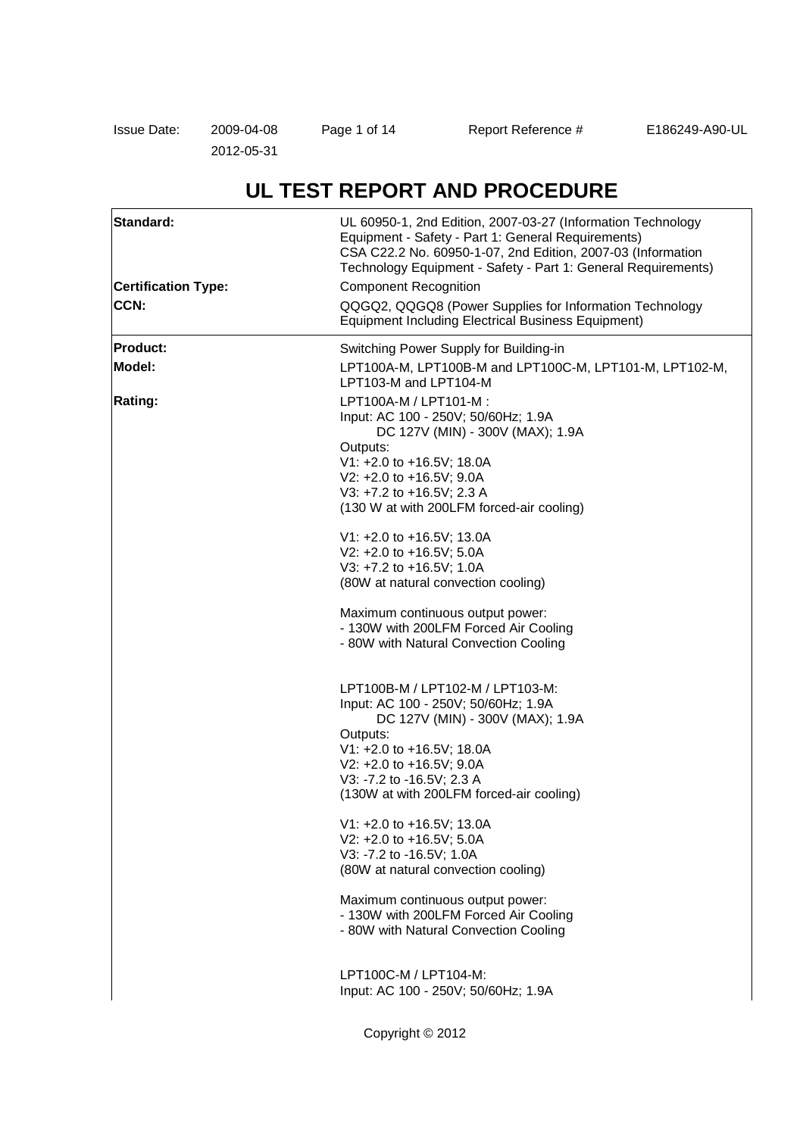2012-05-31

# **UL TEST REPORT AND PROCEDURE**

| Standard:                  | UL 60950-1, 2nd Edition, 2007-03-27 (Information Technology<br>Equipment - Safety - Part 1: General Requirements)<br>CSA C22.2 No. 60950-1-07, 2nd Edition, 2007-03 (Information<br>Technology Equipment - Safety - Part 1: General Requirements) |  |  |
|----------------------------|---------------------------------------------------------------------------------------------------------------------------------------------------------------------------------------------------------------------------------------------------|--|--|
| <b>Certification Type:</b> | <b>Component Recognition</b>                                                                                                                                                                                                                      |  |  |
| CCN:                       | QQGQ2, QQGQ8 (Power Supplies for Information Technology<br><b>Equipment Including Electrical Business Equipment)</b>                                                                                                                              |  |  |
| <b>Product:</b>            | Switching Power Supply for Building-in                                                                                                                                                                                                            |  |  |
| Model:                     | LPT100A-M, LPT100B-M and LPT100C-M, LPT101-M, LPT102-M,<br>LPT103-M and LPT104-M                                                                                                                                                                  |  |  |
| Rating:                    | LPT100A-M / LPT101-M :<br>Input: AC 100 - 250V; 50/60Hz; 1.9A<br>DC 127V (MIN) - 300V (MAX); 1.9A                                                                                                                                                 |  |  |
|                            | Outputs:                                                                                                                                                                                                                                          |  |  |
|                            | V1: +2.0 to +16.5V; 18.0A                                                                                                                                                                                                                         |  |  |
|                            | V2: +2.0 to +16.5V; 9.0A<br>V3: +7.2 to +16.5V; 2.3 A                                                                                                                                                                                             |  |  |
|                            | (130 W at with 200LFM forced-air cooling)                                                                                                                                                                                                         |  |  |
|                            | V1: +2.0 to +16.5V; 13.0A                                                                                                                                                                                                                         |  |  |
|                            | V2: +2.0 to +16.5V; 5.0A                                                                                                                                                                                                                          |  |  |
|                            | V3: +7.2 to +16.5V; 1.0A                                                                                                                                                                                                                          |  |  |
|                            | (80W at natural convection cooling)                                                                                                                                                                                                               |  |  |
|                            | Maximum continuous output power:                                                                                                                                                                                                                  |  |  |
|                            | - 130W with 200LFM Forced Air Cooling                                                                                                                                                                                                             |  |  |
|                            | - 80W with Natural Convection Cooling                                                                                                                                                                                                             |  |  |
|                            | LPT100B-M / LPT102-M / LPT103-M:                                                                                                                                                                                                                  |  |  |
|                            | Input: AC 100 - 250V; 50/60Hz; 1.9A                                                                                                                                                                                                               |  |  |
|                            | DC 127V (MIN) - 300V (MAX); 1.9A                                                                                                                                                                                                                  |  |  |
|                            | Outputs:<br>V1: +2.0 to +16.5V; 18.0A                                                                                                                                                                                                             |  |  |
|                            | V2: +2.0 to +16.5V; 9.0A                                                                                                                                                                                                                          |  |  |
|                            | V3: -7.2 to -16.5V; 2.3 A                                                                                                                                                                                                                         |  |  |
|                            | (130W at with 200LFM forced-air cooling)                                                                                                                                                                                                          |  |  |
|                            | V1: +2.0 to +16.5V; 13.0A                                                                                                                                                                                                                         |  |  |
|                            | V2: +2.0 to +16.5V; 5.0A                                                                                                                                                                                                                          |  |  |
|                            | V3: -7.2 to -16.5V; 1.0A                                                                                                                                                                                                                          |  |  |
|                            | (80W at natural convection cooling)                                                                                                                                                                                                               |  |  |
|                            | Maximum continuous output power:                                                                                                                                                                                                                  |  |  |
|                            | - 130W with 200LFM Forced Air Cooling<br>- 80W with Natural Convection Cooling                                                                                                                                                                    |  |  |
|                            | LPT100C-M / LPT104-M:                                                                                                                                                                                                                             |  |  |
|                            | Input: AC 100 - 250V; 50/60Hz; 1.9A                                                                                                                                                                                                               |  |  |
|                            | Copyright © 2012                                                                                                                                                                                                                                  |  |  |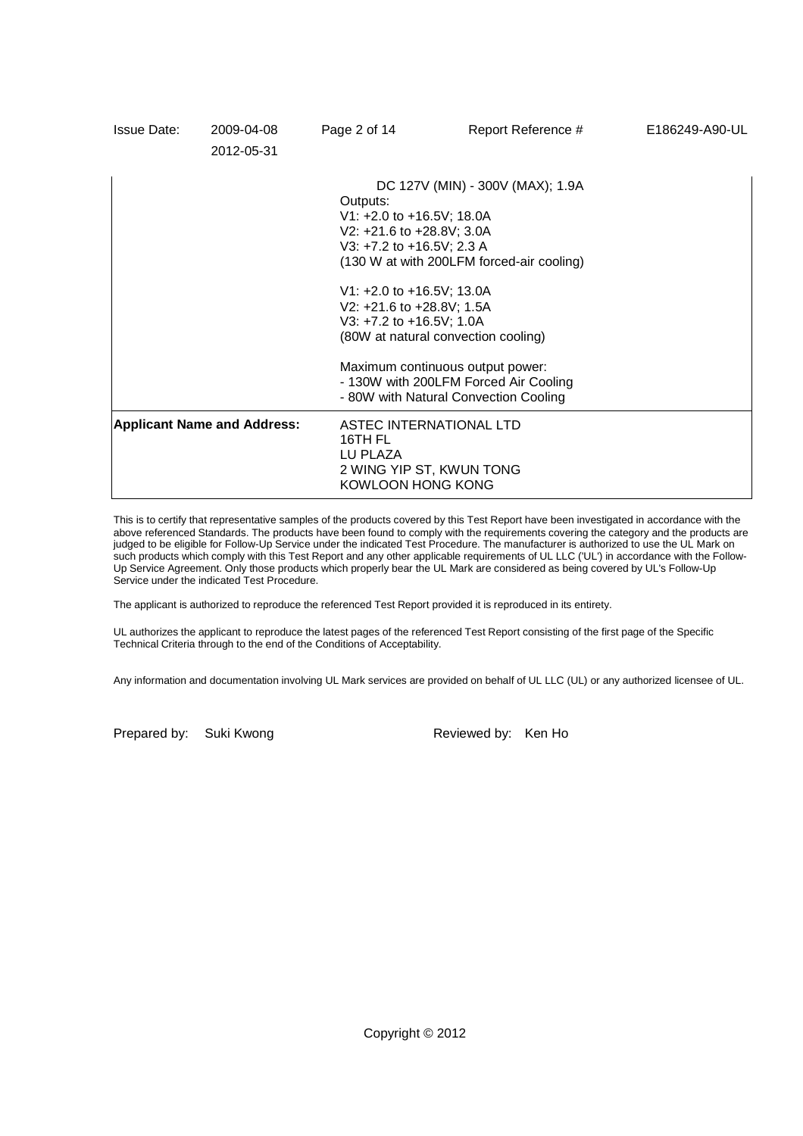| <b>Issue Date:</b> | 2009-04-08<br>2012-05-31           | Page 2 of 14                                                                                           | Report Reference #                                                                                                                                                                                                                                                                                                                              | E186249-A90-UL |
|--------------------|------------------------------------|--------------------------------------------------------------------------------------------------------|-------------------------------------------------------------------------------------------------------------------------------------------------------------------------------------------------------------------------------------------------------------------------------------------------------------------------------------------------|----------------|
|                    |                                    | Outputs:                                                                                               | DC 127V (MIN) - 300V (MAX); 1.9A<br>V1: $+2.0$ to $+16.5$ V; 18.0A<br>V2: +21.6 to +28.8V; 3.0A<br>V3: +7.2 to +16.5V; 2.3 A<br>(130 W at with 200LFM forced-air cooling)<br>V1: $+2.0$ to $+16.5$ V; 13.0A<br>V2: +21.6 to +28.8V; 1.5A<br>V3: +7.2 to +16.5V; 1.0A<br>(80W at natural convection cooling)<br>Maximum continuous output power: |                |
|                    |                                    |                                                                                                        | - 130W with 200LFM Forced Air Cooling<br>- 80W with Natural Convection Cooling                                                                                                                                                                                                                                                                  |                |
|                    | <b>Applicant Name and Address:</b> | <b>ASTEC INTERNATIONAL LTD</b><br>16TH FL<br>LU PLAZA<br>2 WING YIP ST, KWUN TONG<br>KOWLOON HONG KONG |                                                                                                                                                                                                                                                                                                                                                 |                |

This is to certify that representative samples of the products covered by this Test Report have been investigated in accordance with the above referenced Standards. The products have been found to comply with the requirements covering the category and the products are judged to be eligible for Follow-Up Service under the indicated Test Procedure. The manufacturer is authorized to use the UL Mark on such products which comply with this Test Report and any other applicable requirements of UL LLC ('UL') in accordance with the Follow-Up Service Agreement. Only those products which properly bear the UL Mark are considered as being covered by UL's Follow-Up Service under the indicated Test Procedure.

The applicant is authorized to reproduce the referenced Test Report provided it is reproduced in its entirety.

UL authorizes the applicant to reproduce the latest pages of the referenced Test Report consisting of the first page of the Specific Technical Criteria through to the end of the Conditions of Acceptability.

Any information and documentation involving UL Mark services are provided on behalf of UL LLC (UL) or any authorized licensee of UL.

Prepared by: Suki Kwong Reviewed by: Ken Ho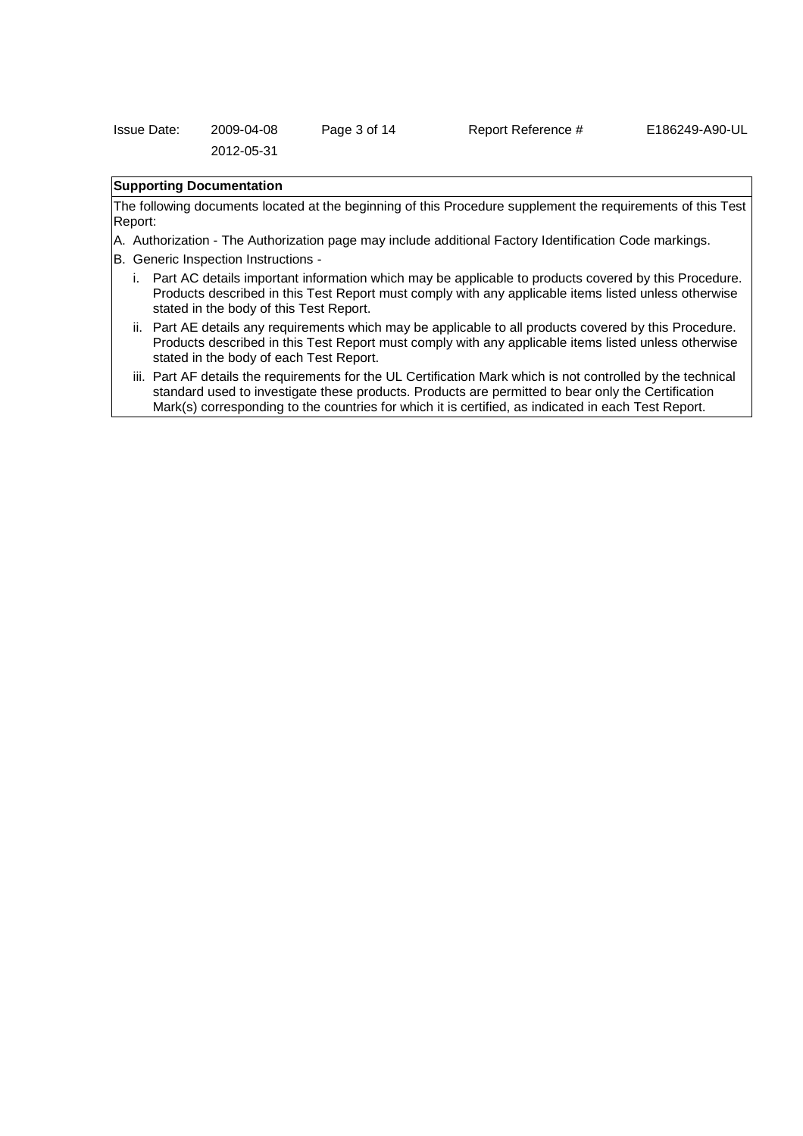| <b>Issue Date:</b> | 2009-04-08 | Page 3 of 14 |
|--------------------|------------|--------------|
|                    | 2012-05-31 |              |

# Report Reference # E186249-A90-UL

# **Supporting Documentation**

The following documents located at the beginning of this Procedure supplement the requirements of this Test Report:

- A. Authorization The Authorization page may include additional Factory Identification Code markings.
- B. Generic Inspection Instructions
	- i. Part AC details important information which may be applicable to products covered by this Procedure. Products described in this Test Report must comply with any applicable items listed unless otherwise stated in the body of this Test Report.
	- ii. Part AE details any requirements which may be applicable to all products covered by this Procedure. Products described in this Test Report must comply with any applicable items listed unless otherwise stated in the body of each Test Report.
	- iii. Part AF details the requirements for the UL Certification Mark which is not controlled by the technical standard used to investigate these products. Products are permitted to bear only the Certification Mark(s) corresponding to the countries for which it is certified, as indicated in each Test Report.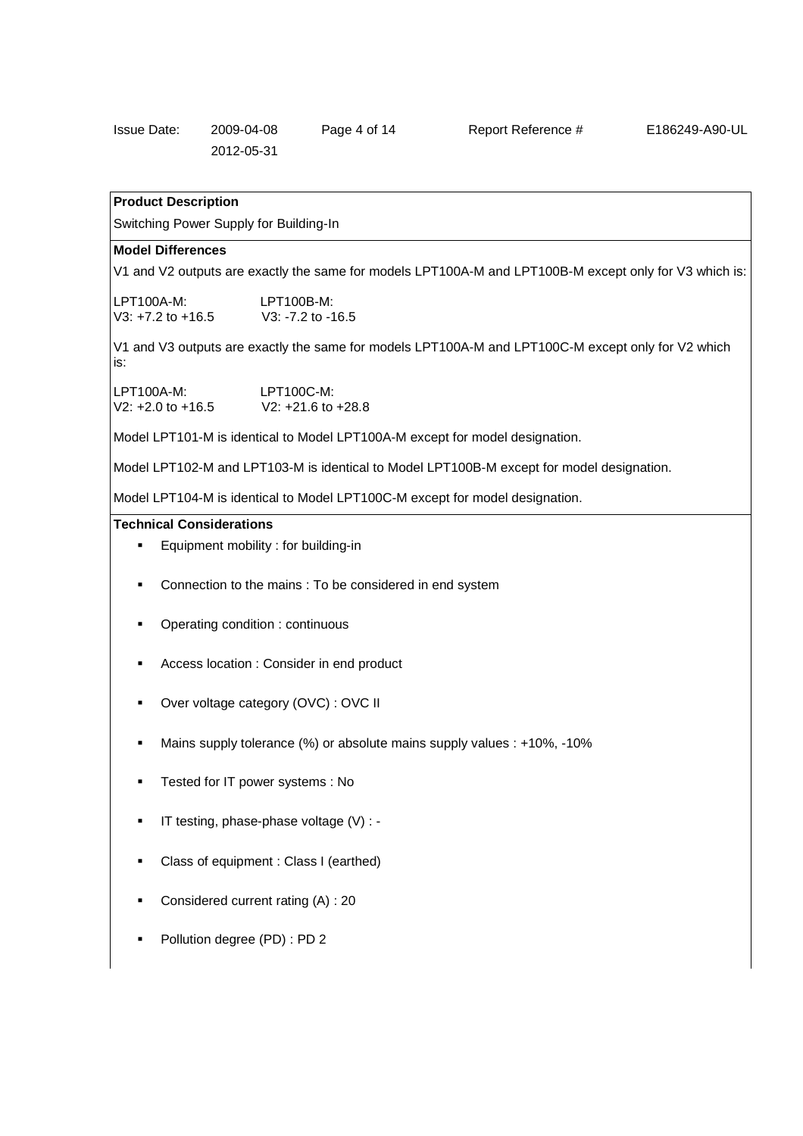| Issue Date: | 2009-04-08 | Page 4 of 14 |
|-------------|------------|--------------|
|             | 2012-05-31 |              |

Report Reference # E186249-A90-UL

# **Product Description**

Switching Power Supply for Building-In

#### **Model Differences**

V1 and V2 outputs are exactly the same for models LPT100A-M and LPT100B-M except only for V3 which is:

| $LPT100A-M:$          | $LPT100B-M:$        |
|-----------------------|---------------------|
| $V3: +7.2$ to $+16.5$ | $V3: -7.2$ to -16.5 |

V1 and V3 outputs are exactly the same for models LPT100A-M and LPT100C-M except only for V2 which is:

| $LPT100A-M:$          | LPT100C-M:             |
|-----------------------|------------------------|
| $V2: +2.0$ to $+16.5$ | $V2: +21.6$ to $+28.8$ |

Model LPT101-M is identical to Model LPT100A-M except for model designation.

Model LPT102-M and LPT103-M is identical to Model LPT100B-M except for model designation.

Model LPT104-M is identical to Model LPT100C-M except for model designation.

## **Technical Considerations**

- Equipment mobility : for building-in
- **Connection to the mains : To be considered in end system**
- Operating condition : continuous
- Access location : Consider in end product
- Over voltage category (OVC) : OVC II
- Mains supply tolerance (%) or absolute mains supply values : +10%, -10%
- Tested for IT power systems : No
- IT testing, phase-phase voltage (V) : -
- Class of equipment : Class I (earthed)
- Considered current rating (A) : 20
- Pollution degree (PD) : PD 2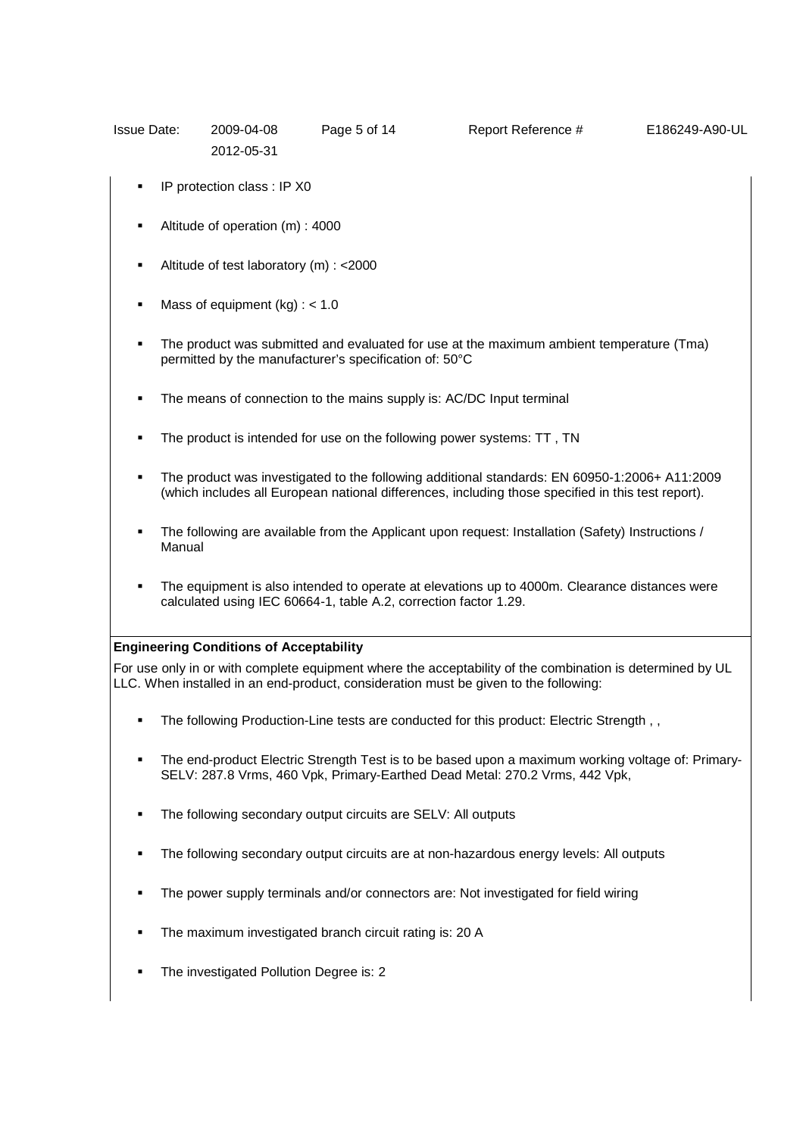| <b>Issue Date:</b> | 2009-04-08 | Page 5 of 14 |  |
|--------------------|------------|--------------|--|
|                    | 2012-05-31 |              |  |

Report Reference # E186249-A90-UL

- IP protection class : IP X0
- Altitude of operation (m) : 4000
- Altitude of test laboratory (m) : <2000
- Mass of equipment  $(kq)$  : < 1.0
- The product was submitted and evaluated for use at the maximum ambient temperature (Tma) permitted by the manufacturer's specification of: 50°C
- The means of connection to the mains supply is: AC/DC Input terminal
- The product is intended for use on the following power systems: TT , TN
- The product was investigated to the following additional standards: EN 60950-1:2006+ A11:2009 (which includes all European national differences, including those specified in this test report).
- The following are available from the Applicant upon request: Installation (Safety) Instructions / Manual
- The equipment is also intended to operate at elevations up to 4000m. Clearance distances were calculated using IEC 60664-1, table A.2, correction factor 1.29.

### **Engineering Conditions of Acceptability**

For use only in or with complete equipment where the acceptability of the combination is determined by UL LLC. When installed in an end-product, consideration must be given to the following:

- The following Production-Line tests are conducted for this product: Electric Strength , ,
- The end-product Electric Strength Test is to be based upon a maximum working voltage of: Primary-SELV: 287.8 Vrms, 460 Vpk, Primary-Earthed Dead Metal: 270.2 Vrms, 442 Vpk,
- The following secondary output circuits are SELV: All outputs
- The following secondary output circuits are at non-hazardous energy levels: All outputs
- The power supply terminals and/or connectors are: Not investigated for field wiring
- The maximum investigated branch circuit rating is: 20 A
- The investigated Pollution Degree is: 2